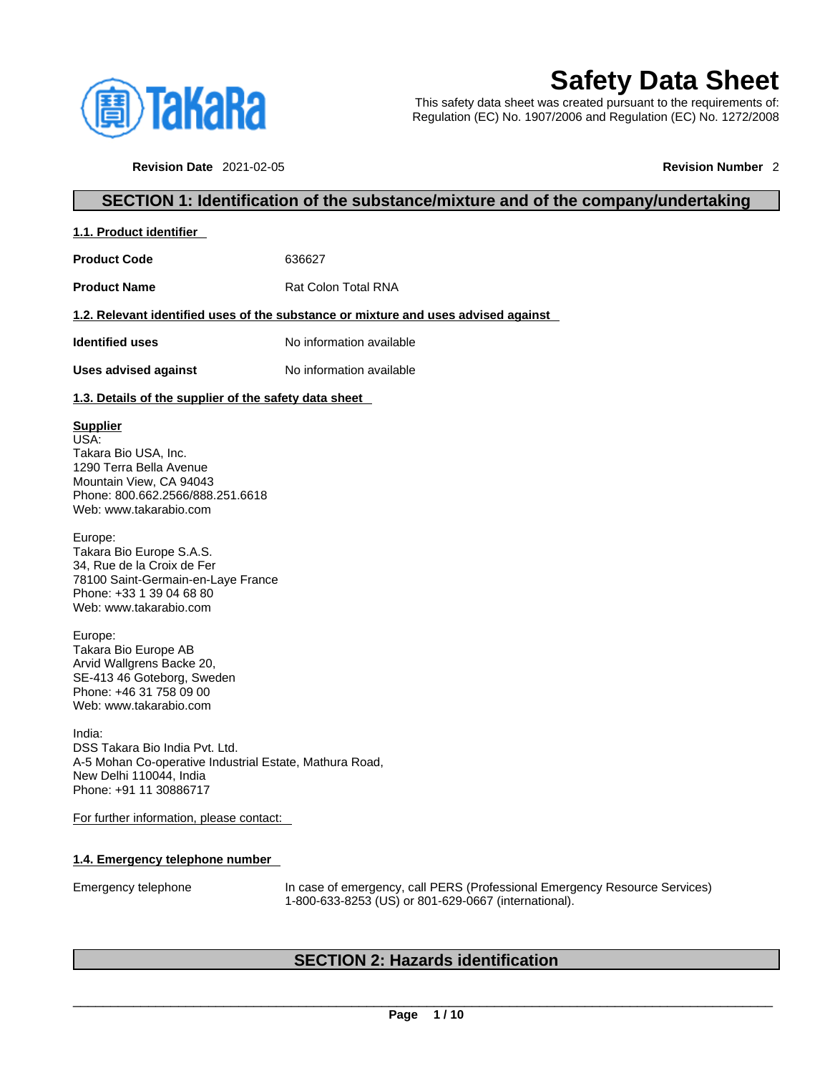

**1.1. Product identifier** 

# **Safety Data Sheet**

This safety data sheet was created pursuant to the requirements of: Regulation (EC) No. 1907/2006 and Regulation (EC) No. 1272/2008

**Revision Date** 2021-02-05 **Revision Number** 2

# **SECTION 1: Identification of the substance/mixture and of the company/undertaking**

| 1.1. Product identifier |        |             |
|-------------------------|--------|-------------|
| <b>Product Code</b>     | 636627 |             |
|                         | - - -  | _ _ _ _ _ _ |

**Product Name** Rat Colon Total RNA

# **1.2. Relevant identified uses of the substance or mixture and uses advised against**

**Identified uses** No information available

**Uses advised against** No information available

# **1.3. Details of the supplier of the safety data sheet**

# **Supplier**

USA: Takara Bio USA, Inc. 1290 Terra Bella Avenue Mountain View, CA 94043 Phone: 800.662.2566/888.251.6618 Web: www.takarabio.com

Europe: Takara Bio Europe S.A.S. 34, Rue de la Croix de Fer 78100 Saint-Germain-en-Laye France Phone: +33 1 39 04 68 80 Web: www.takarabio.com

Europe: Takara Bio Europe AB Arvid Wallgrens Backe 20, SE-413 46 Goteborg, Sweden Phone: +46 31 758 09 00 Web: www.takarabio.com

India: DSS Takara Bio India Pvt. Ltd. A-5 Mohan Co-operative Industrial Estate, Mathura Road, New Delhi 110044, India Phone: +91 11 30886717

For further information, please contact:

# **1.4. Emergency telephone number**

Emergency telephone In case of emergency, call PERS (Professional Emergency Resource Services) 1-800-633-8253 (US) or 801-629-0667 (international).

# **SECTION 2: Hazards identification**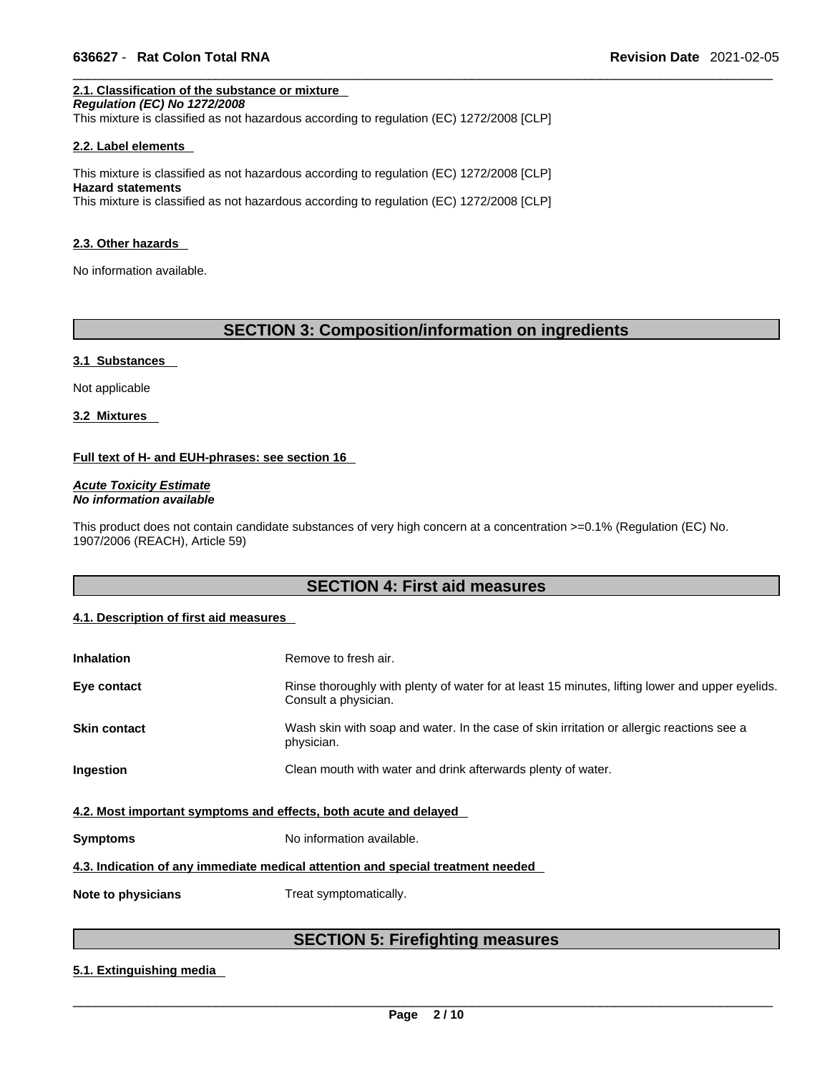# **2.1. Classification of the substance or mixture**

*Regulation (EC) No 1272/2008*  This mixture is classified as not hazardous according to regulation (EC) 1272/2008 [CLP]

#### **2.2. Label elements**

This mixture is classified as not hazardous according to regulation (EC) 1272/2008 [CLP] **Hazard statements** This mixture is classified as not hazardous according to regulation (EC) 1272/2008 [CLP]

#### **2.3. Other hazards**

No information available.

# **SECTION 3: Composition/information on ingredients**

#### **3.1 Substances**

Not applicable

**3.2 Mixtures** 

# **Full text of H- and EUH-phrases: see section 16**

*Acute Toxicity Estimate No information available* 

This product does not contain candidate substances of very high concern at a concentration >=0.1% (Regulation (EC) No. 1907/2006 (REACH), Article 59)

# **SECTION 4: First aid measures**

# **4.1. Description of first aid measures**

| <b>Inhalation</b>                                                               | Remove to fresh air.                                                                                                    |  |
|---------------------------------------------------------------------------------|-------------------------------------------------------------------------------------------------------------------------|--|
| Eye contact                                                                     | Rinse thoroughly with plenty of water for at least 15 minutes, lifting lower and upper eyelids.<br>Consult a physician. |  |
| <b>Skin contact</b>                                                             | Wash skin with soap and water. In the case of skin irritation or allergic reactions see a<br>physician.                 |  |
| Ingestion                                                                       | Clean mouth with water and drink afterwards plenty of water.                                                            |  |
| 4.2. Most important symptoms and effects, both acute and delayed                |                                                                                                                         |  |
| <b>Symptoms</b>                                                                 | No information available.                                                                                               |  |
| 4.3. Indication of any immediate medical attention and special treatment needed |                                                                                                                         |  |
| Note to physicians                                                              | Treat symptomatically.                                                                                                  |  |

# **SECTION 5: Firefighting measures**

# **5.1. Extinguishing media**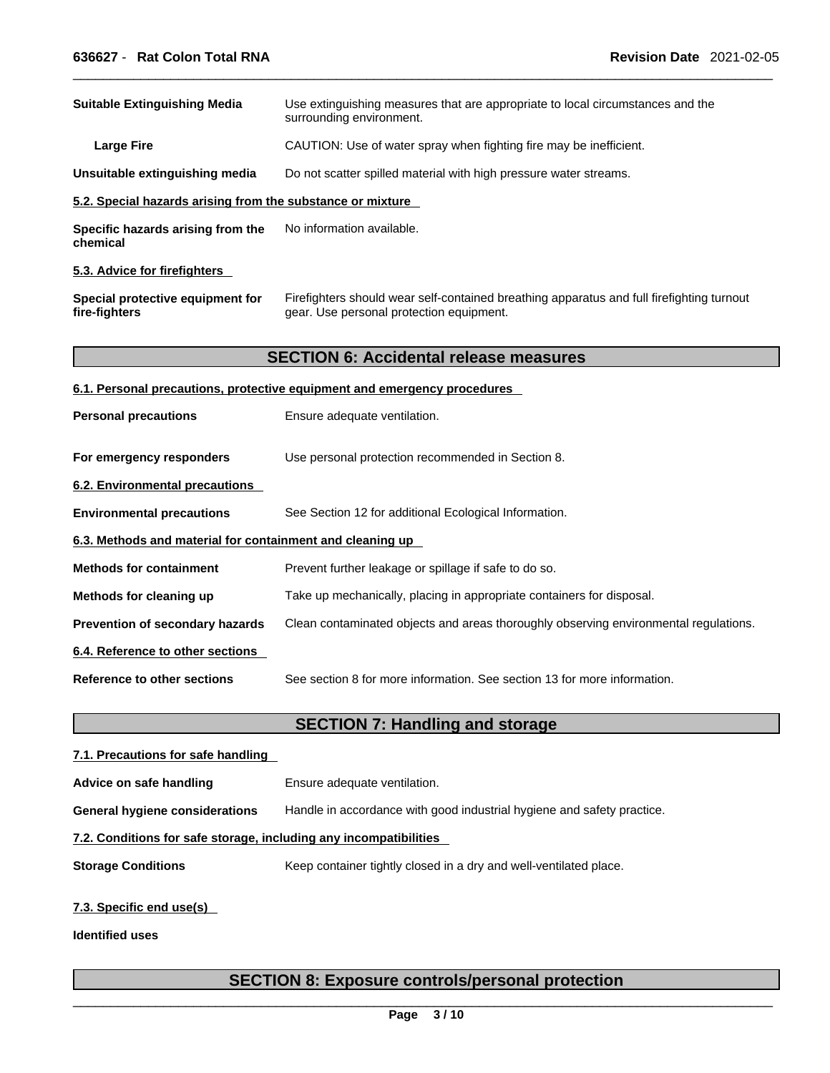| <b>Suitable Extinguishing Media</b>                        | Use extinguishing measures that are appropriate to local circumstances and the<br>surrounding environment.                            |
|------------------------------------------------------------|---------------------------------------------------------------------------------------------------------------------------------------|
| <b>Large Fire</b>                                          | CAUTION: Use of water spray when fighting fire may be inefficient.                                                                    |
| Unsuitable extinguishing media                             | Do not scatter spilled material with high pressure water streams.                                                                     |
| 5.2. Special hazards arising from the substance or mixture |                                                                                                                                       |
| Specific hazards arising from the<br>chemical              | No information available.                                                                                                             |
| 5.3. Advice for firefighters                               |                                                                                                                                       |
| Special protective equipment for<br>fire-fighters          | Firefighters should wear self-contained breathing apparatus and full firefighting turnout<br>gear. Use personal protection equipment. |
|                                                            | <b>SECTION 6: Accidental release measures</b>                                                                                         |
|                                                            | 6.1. Personal precautions, protective equipment and emergency procedures                                                              |
| <b>Personal precautions</b>                                | Ensure adequate ventilation.                                                                                                          |
| For emergency responders                                   | Use personal protection recommended in Section 8.                                                                                     |
| 6.2. Environmental precautions                             |                                                                                                                                       |
| <b>Environmental precautions</b>                           | See Section 12 for additional Ecological Information.                                                                                 |
| 6.3. Methods and material for containment and cleaning up  |                                                                                                                                       |
| <b>Methods for containment</b>                             | Prevent further leakage or spillage if safe to do so.                                                                                 |
| Methods for cleaning up                                    | Take up mechanically, placing in appropriate containers for disposal.                                                                 |
| Prevention of secondary hazards                            | Clean contaminated objects and areas thoroughly observing environmental regulations.                                                  |
| 6.4. Reference to other sections                           |                                                                                                                                       |
| <b>Reference to other sections</b>                         | See section 8 for more information. See section 13 for more information.                                                              |
|                                                            | <b>SECTION 7: Handling and storage</b>                                                                                                |
| 7.1. Precautions for safe handling                         |                                                                                                                                       |
|                                                            |                                                                                                                                       |

**General hygiene considerations** Handle in accordance with good industrial hygiene and safety practice.

# **7.2. Conditions for safe storage, including any incompatibilities**

**Advice on safe handling** Ensure adequate ventilation.

**Storage Conditions** Keep container tightly closed in a dry and well-ventilated place.

# **7.3. Specific end use(s)**

**Identified uses**

# **SECTION 8: Exposure controls/personal protection**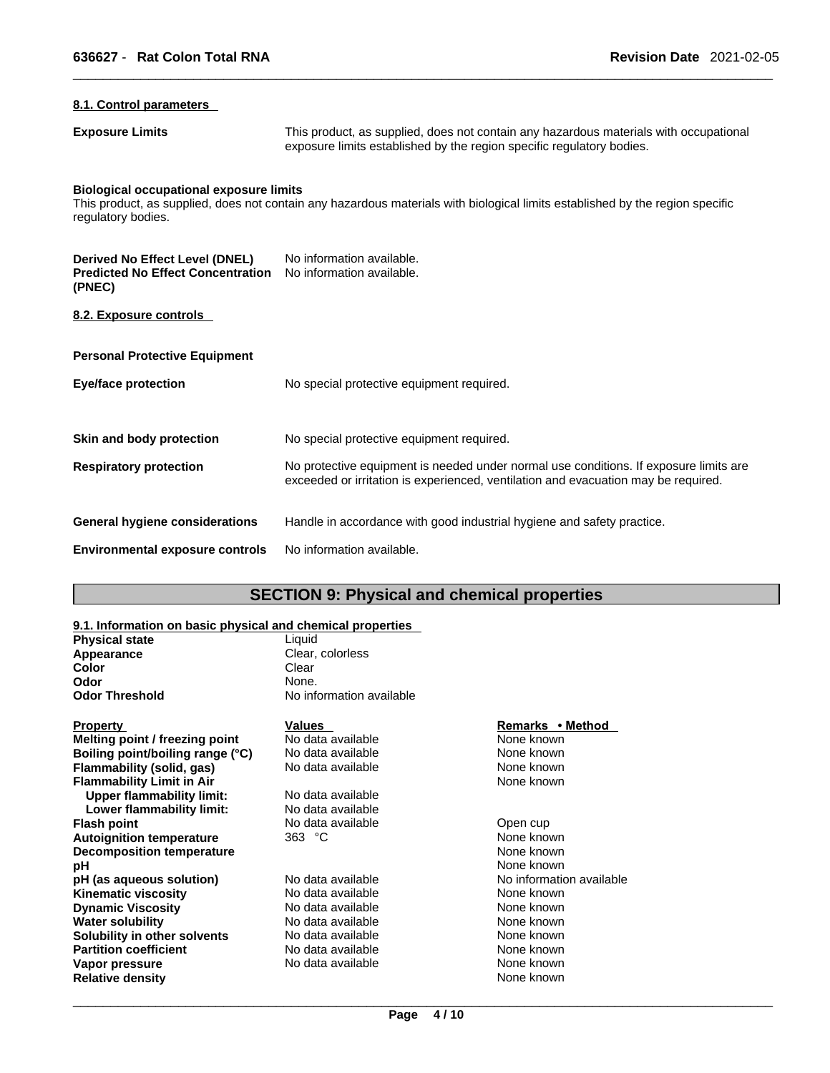# **8.1. Control parameters**

**Exposure Limits** This product, as supplied, does not contain any hazardous materials with occupational exposure limits established by the region specific regulatory bodies.

# **Biological occupational exposure limits**

This product, as supplied, does not contain any hazardous materials with biological limits established by the region specific regulatory bodies.

| Derived No Effect Level (DNEL)<br><b>Predicted No Effect Concentration</b><br>(PNEC) | No information available.<br>No information available.                                                                                                                      |
|--------------------------------------------------------------------------------------|-----------------------------------------------------------------------------------------------------------------------------------------------------------------------------|
| 8.2. Exposure controls                                                               |                                                                                                                                                                             |
| <b>Personal Protective Equipment</b>                                                 |                                                                                                                                                                             |
| Eye/face protection                                                                  | No special protective equipment required.                                                                                                                                   |
| Skin and body protection                                                             | No special protective equipment required.                                                                                                                                   |
| <b>Respiratory protection</b>                                                        | No protective equipment is needed under normal use conditions. If exposure limits are<br>exceeded or irritation is experienced, ventilation and evacuation may be required. |
| <b>General hygiene considerations</b>                                                | Handle in accordance with good industrial hygiene and safety practice.                                                                                                      |
| <b>Environmental exposure controls</b>                                               | No information available.                                                                                                                                                   |

# **SECTION 9: Physical and chemical properties**

# **9.1. Information on basic physical and chemical properties**

| <b>Physical state</b>            | Liquid                   |                          |
|----------------------------------|--------------------------|--------------------------|
| Appearance                       | Clear, colorless         |                          |
| Color                            | Clear                    |                          |
| Odor                             | None.                    |                          |
| Odor Threshold                   | No information available |                          |
| <u>Property</u>                  | Values                   | Remarks • Method         |
| Melting point / freezing point   | No data available        | None known               |
| Boiling point/boiling range (°C) | No data available        | None known               |
| Flammability (solid, gas)        | No data available        | None known               |
| <b>Flammability Limit in Air</b> |                          | None known               |
| <b>Upper flammability limit:</b> | No data available        |                          |
| Lower flammability limit:        | No data available        |                          |
| Flash point                      | No data available        | Open cup                 |
| <b>Autoignition temperature</b>  | 363 °C                   | None known               |
| <b>Decomposition temperature</b> |                          | None known               |
| рH                               |                          | None known               |
| pH (as aqueous solution)         | No data available        | No information available |
| Kinematic viscosity              | No data available        | None known               |
| <b>Dynamic Viscosity</b>         | No data available        | None known               |
| Water solubility                 | No data available        | None known               |
| Solubility in other solvents     | No data available        | None known               |
| <b>Partition coefficient</b>     | No data available        | None known               |
| Vapor pressure                   | No data available        | None known               |
| Relative density                 |                          | None known               |
|                                  |                          |                          |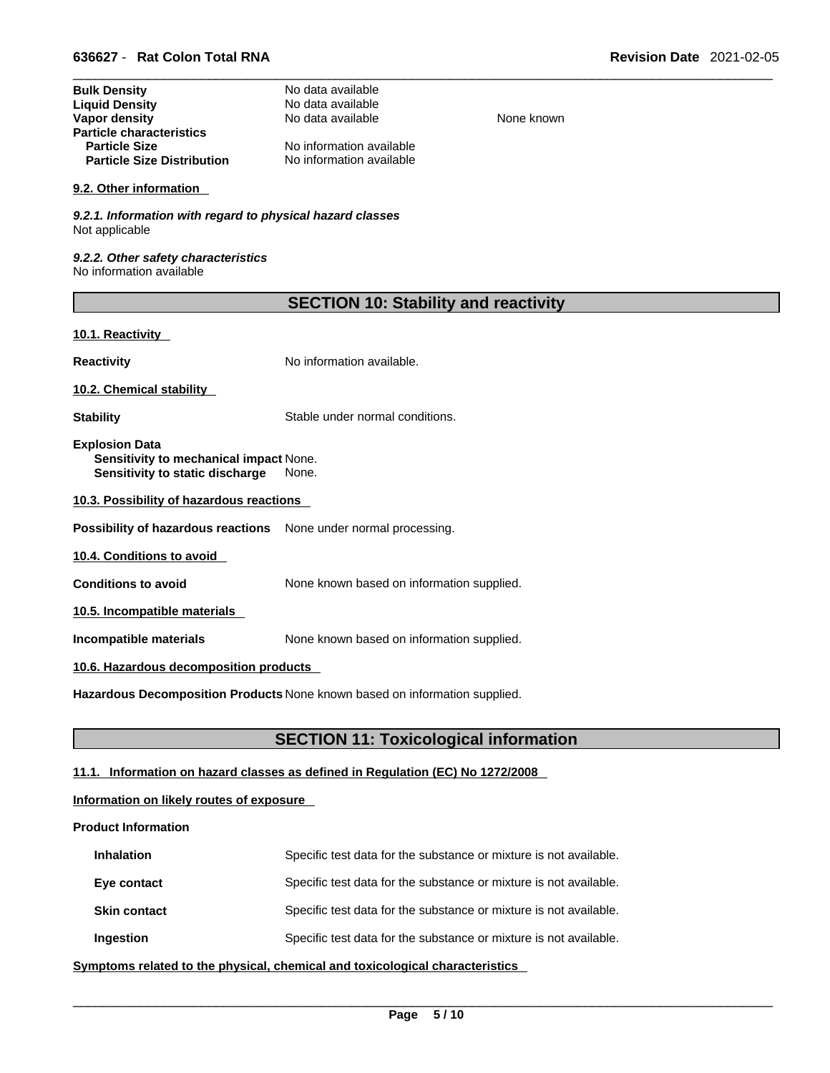| No data available        |
|--------------------------|
| No data available        |
| No data available        |
|                          |
| No information available |
| No information available |
|                          |

#### **9.2. Other information**

*9.2.1. Information with regard to physical hazard classes* Not applicable

*9.2.2. Other safety characteristics* No information available

| <b>SECTION 10: Stability and reactivity</b> |  |
|---------------------------------------------|--|
|---------------------------------------------|--|

**None known** 

# **10.1. Reactivity**

**Reactivity No information available.** 

**10.2. Chemical stability** 

**Stability** Stable under normal conditions.

**Explosion Data Sensitivity to mechanical impact** None. **Sensitivity to static discharge** None.

**10.3. Possibility of hazardous reactions**

**Possibility of hazardous reactions** None under normal processing.

**10.4. Conditions to avoid** 

**Conditions to avoid** None known based on information supplied.

**10.5. Incompatible materials**

**Incompatible materials** None known based on information supplied.

# **10.6. Hazardous decomposition products**

**Hazardous Decomposition Products** None known based on information supplied.

# **SECTION 11: Toxicological information**

# **11.1. Information on hazard classes as defined in Regulation (EC) No 1272/2008**

# **Information on likely routes of exposure**

# **Product Information**

| <b>Inhalation</b>   | Specific test data for the substance or mixture is not available. |
|---------------------|-------------------------------------------------------------------|
| Eye contact         | Specific test data for the substance or mixture is not available. |
| <b>Skin contact</b> | Specific test data for the substance or mixture is not available. |
| Ingestion           | Specific test data for the substance or mixture is not available. |

**<u>Symptoms related to the physical, chemical and toxicological characteristics</u>**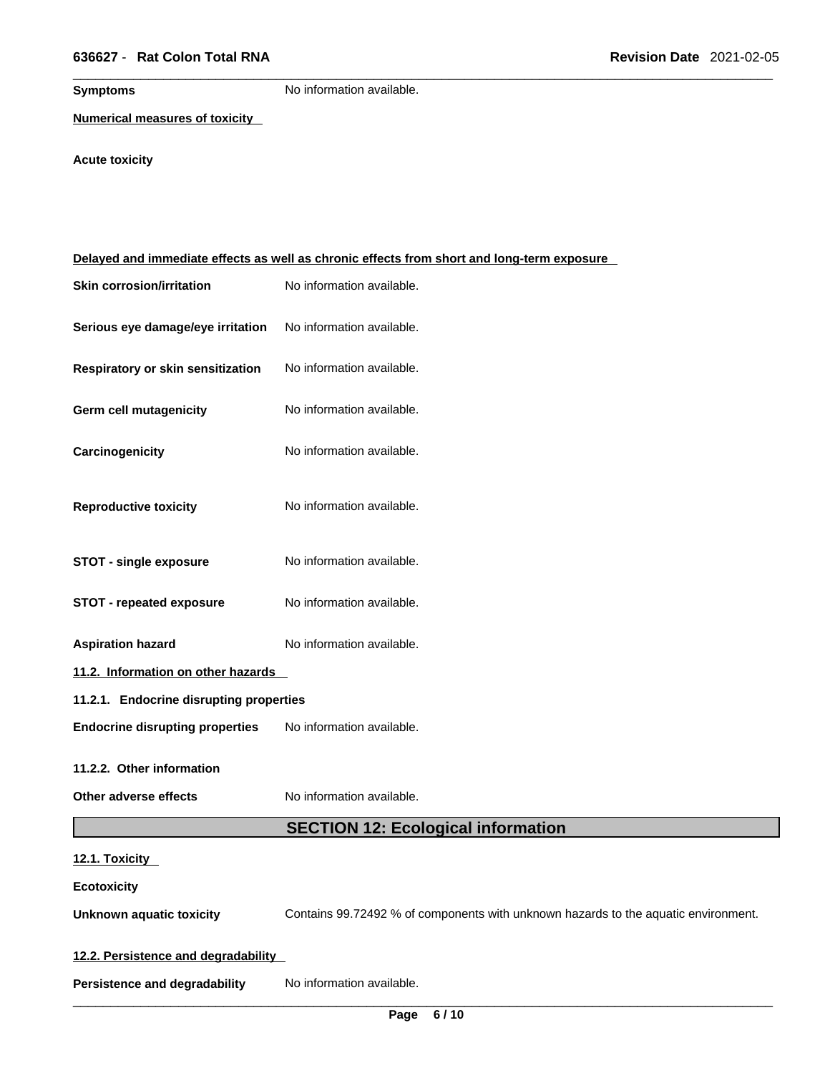**Symptoms** No information available.

**Numerical measures of toxicity**

**Acute toxicity** 

|                                         | Delayed and immediate effects as well as chronic effects from short and long-term exposure |
|-----------------------------------------|--------------------------------------------------------------------------------------------|
| <b>Skin corrosion/irritation</b>        | No information available.                                                                  |
| Serious eye damage/eye irritation       | No information available.                                                                  |
| Respiratory or skin sensitization       | No information available.                                                                  |
| <b>Germ cell mutagenicity</b>           | No information available.                                                                  |
| Carcinogenicity                         | No information available.                                                                  |
| <b>Reproductive toxicity</b>            | No information available.                                                                  |
| <b>STOT - single exposure</b>           | No information available.                                                                  |
| <b>STOT - repeated exposure</b>         | No information available.                                                                  |
| <b>Aspiration hazard</b>                | No information available.                                                                  |
| 11.2. Information on other hazards      |                                                                                            |
| 11.2.1. Endocrine disrupting properties |                                                                                            |
| <b>Endocrine disrupting properties</b>  | No information available.                                                                  |
| 11.2.2. Other information               |                                                                                            |
| Other adverse effects                   | No information available.                                                                  |
|                                         | <b>SECTION 12: Ecological information</b>                                                  |
| 12.1. Toxicity                          |                                                                                            |
| <b>Ecotoxicity</b>                      |                                                                                            |
| <b>Unknown aquatic toxicity</b>         | Contains 99.72492 % of components with unknown hazards to the aquatic environment.         |
| 12.2. Persistence and degradability     |                                                                                            |
| <b>Persistence and degradability</b>    | No information available.                                                                  |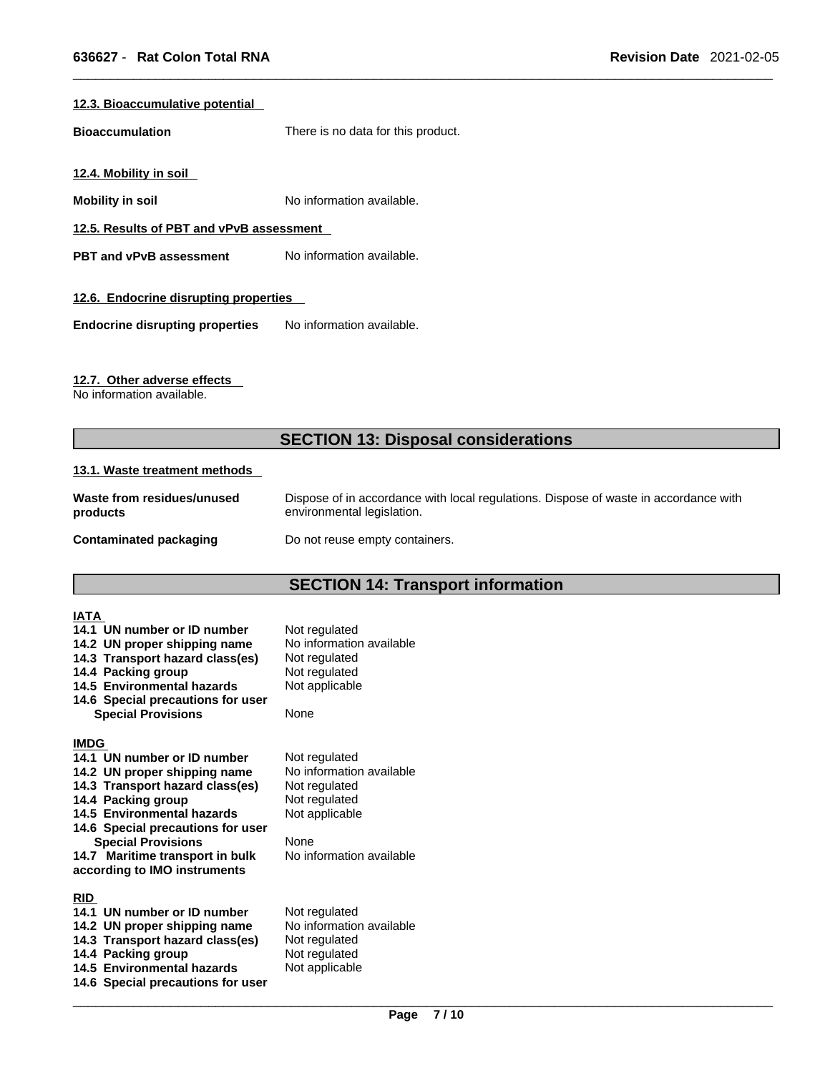# **12.3. Bioaccumulative potential**

**Bioaccumulation** There is no data for this product.

**12.4. Mobility in soil** 

**Mobility in soil** No information available.

**12.5. Results of PBT and vPvB assessment**

**PBT** and **vPvB** assessment No information available.

# **12.6. Endocrine disrupting properties**

**Endocrine disrupting properties** No information available.

# **12.7. Other adverse effects**

No information available.

# **SECTION 13: Disposal considerations**

#### **13.1. Waste treatment methods**

| Waste from residues/unused | Dispose of in accordance with local regulations. Dispose of waste in accordance with |
|----------------------------|--------------------------------------------------------------------------------------|
| products                   | environmental legislation.                                                           |
| Contaminated packaging     | Do not reuse empty containers.                                                       |

# **SECTION 14: Transport information**

| IATA<br>14.1 UN number or ID number<br>14.2 UN proper shipping name<br>14.3 Transport hazard class(es)<br>14.4 Packing group<br>14.5 Environmental hazards                                                                                                                                             | Not regulated<br>No information available<br>Not regulated<br>Not regulated                                                       |  |
|--------------------------------------------------------------------------------------------------------------------------------------------------------------------------------------------------------------------------------------------------------------------------------------------------------|-----------------------------------------------------------------------------------------------------------------------------------|--|
| 14.6 Special precautions for user<br><b>Special Provisions</b>                                                                                                                                                                                                                                         | Not applicable<br>None                                                                                                            |  |
| <b>IMDG</b><br>14.1 UN number or ID number<br>14.2 UN proper shipping name<br>14.3 Transport hazard class(es)<br>14.4 Packing group<br>14.5 Environmental hazards<br>14.6 Special precautions for user<br><b>Special Provisions</b><br>14.7 Maritime transport in bulk<br>according to IMO instruments | Not regulated<br>No information available<br>Not regulated<br>Not regulated<br>Not applicable<br>None<br>No information available |  |
| <b>RID</b><br>14.1 UN number or ID number<br>14.2 UN proper shipping name<br>14.3 Transport hazard class(es)<br>14.4 Packing group<br>14.5 Environmental hazards<br>14.6 Special precautions for user                                                                                                  | Not regulated<br>No information available<br>Not regulated<br>Not regulated<br>Not applicable                                     |  |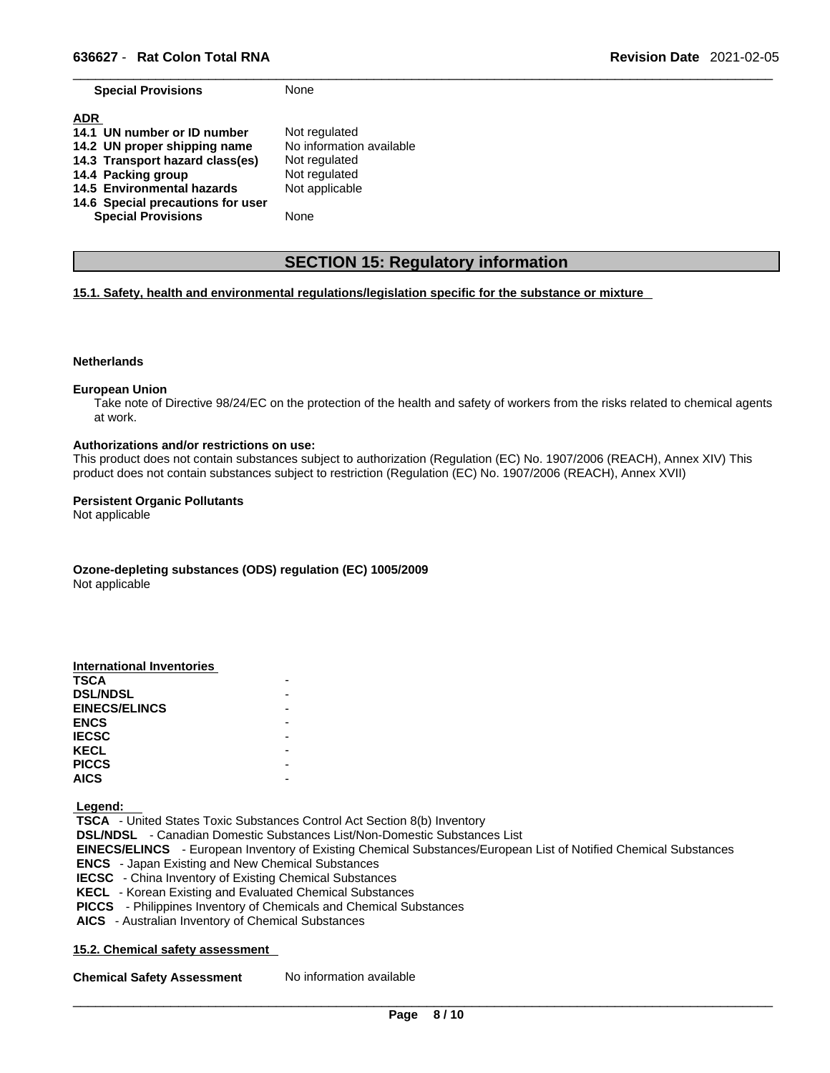**Special Provisions** None

| <b>ADR</b><br>14.1 UN number or ID number | Not regulated            |
|-------------------------------------------|--------------------------|
| 14.2 UN proper shipping name              | No information available |
| 14.3 Transport hazard class(es)           | Not regulated            |
| 14.4 Packing group                        | Not regulated            |
| 14.5 Environmental hazards                | Not applicable           |
| 14.6 Special precautions for user         |                          |
| <b>Special Provisions</b>                 | None                     |

# **SECTION 15: Regulatory information**

# **15.1. Safety, health and environmental regulations/legislation specific for the substance or mixture**

#### **Netherlands**

#### **European Union**

Take note of Directive 98/24/EC on the protection of the health and safety of workers from the risks related to chemical agents at work.

#### **Authorizations and/or restrictions on use:**

This product does not contain substances subject to authorization (Regulation (EC) No. 1907/2006 (REACH), Annex XIV) This product does not contain substances subject to restriction (Regulation (EC) No. 1907/2006 (REACH), Annex XVII)

#### **Persistent Organic Pollutants**

Not applicable

**Ozone-depleting substances (ODS) regulation (EC) 1005/2009** Not applicable

| International Inventories |  |
|---------------------------|--|
| <b>TSCA</b>               |  |
| <b>DSL/NDSL</b>           |  |
| <b>EINECS/ELINCS</b>      |  |
| <b>ENCS</b>               |  |
| <b>IECSC</b>              |  |
| <b>KECL</b>               |  |
| <b>PICCS</b>              |  |
| <b>AICS</b>               |  |
|                           |  |

 **Legend:** 

 **TSCA** - United States Toxic Substances Control Act Section 8(b) Inventory  **DSL/NDSL** - Canadian Domestic Substances List/Non-Domestic Substances List  **EINECS/ELINCS** - European Inventory of Existing Chemical Substances/European List of Notified Chemical Substances  **ENCS** - Japan Existing and New Chemical Substances  **IECSC** - China Inventory of Existing Chemical Substances  **KECL** - Korean Existing and Evaluated Chemical Substances  **PICCS** - Philippines Inventory of Chemicals and Chemical Substances  **AICS** - Australian Inventory of Chemical Substances

# **15.2. Chemical safety assessment**

**Chemical Safety Assessment** No information available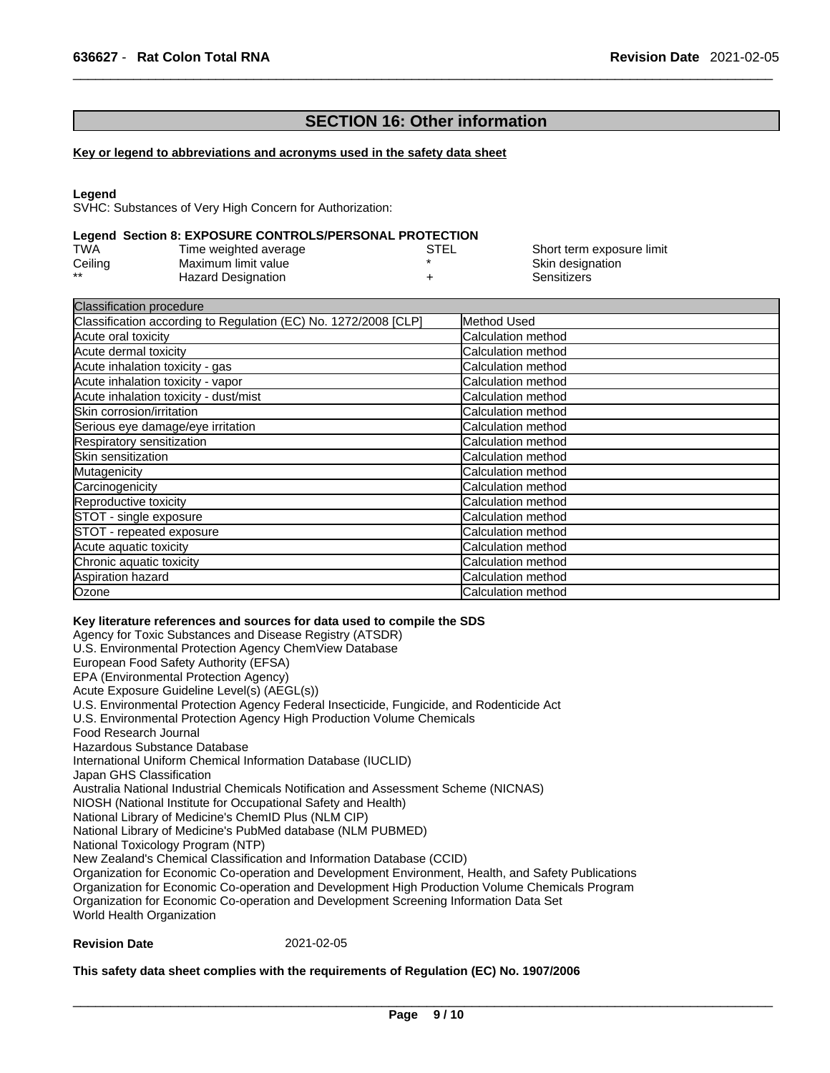# **SECTION 16: Other information**

# **Key or legend to abbreviations and acronyms used in the safety data sheet**

#### **Legend**

SVHC: Substances of Very High Concern for Authorization:

#### **Legend Section 8: EXPOSURE CONTROLS/PERSONAL PROTECTION**

| TWA     | Time weighted average     | <b>STEL</b> | Short term exposure limit |
|---------|---------------------------|-------------|---------------------------|
| Ceiling | Maximum limit value       |             | Skin designation          |
| $***$   | <b>Hazard Designation</b> |             | Sensitizers               |

| <b>Classification procedure</b>                                 |                           |
|-----------------------------------------------------------------|---------------------------|
| Classification according to Regulation (EC) No. 1272/2008 [CLP] | Method Used               |
| Acute oral toxicity                                             | Calculation method        |
| Acute dermal toxicity                                           | Calculation method        |
| Acute inhalation toxicity - gas                                 | Calculation method        |
| Acute inhalation toxicity - vapor                               | Calculation method        |
| Acute inhalation toxicity - dust/mist                           | Calculation method        |
| Skin corrosion/irritation                                       | Calculation method        |
| Serious eye damage/eye irritation                               | Calculation method        |
| Respiratory sensitization                                       | <b>Calculation method</b> |
| Skin sensitization                                              | Calculation method        |
| Mutagenicity                                                    | Calculation method        |
| Carcinogenicity                                                 | Calculation method        |
| Reproductive toxicity                                           | Calculation method        |
| STOT - single exposure                                          | <b>Calculation method</b> |
| STOT - repeated exposure                                        | Calculation method        |
| Acute aquatic toxicity                                          | Calculation method        |
| Chronic aquatic toxicity                                        | Calculation method        |
| Aspiration hazard                                               | Calculation method        |
| Ozone                                                           | Calculation method        |

#### **Key literature references and sources for data used to compile the SDS**

Agency for Toxic Substances and Disease Registry (ATSDR) U.S. Environmental Protection Agency ChemView Database European Food Safety Authority (EFSA) EPA (Environmental Protection Agency) Acute Exposure Guideline Level(s) (AEGL(s)) U.S. Environmental Protection Agency Federal Insecticide, Fungicide, and Rodenticide Act U.S. Environmental Protection Agency High Production Volume Chemicals Food Research Journal Hazardous Substance Database International Uniform Chemical Information Database (IUCLID) Japan GHS Classification Australia National Industrial Chemicals Notification and Assessment Scheme (NICNAS) NIOSH (National Institute for Occupational Safety and Health) National Library of Medicine's ChemID Plus (NLM CIP) National Library of Medicine's PubMed database (NLM PUBMED) National Toxicology Program (NTP) New Zealand's Chemical Classification and Information Database (CCID) Organization for Economic Co-operation and Development Environment, Health, and Safety Publications Organization for Economic Co-operation and Development High Production Volume Chemicals Program Organization for Economic Co-operation and Development Screening Information Data Set World Health Organization

# **Revision Date** 2021-02-05

#### **This safety data sheet complies with the requirements of Regulation (EC) No. 1907/2006**